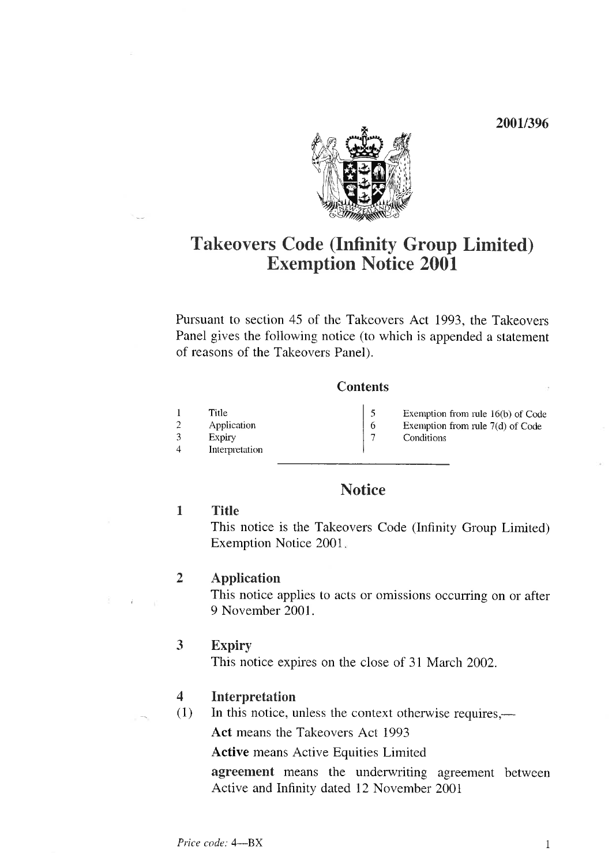2001/396



# Takeovers Code (Infinity Group Limited) Exemption Notice 2001

Pursuant to section 45 of the Takeovers Act 1993, the Takeovers Panel gives the following notice (to which is appended a statement of reasons of the Takeovers Panel).

#### **Contents**

- Title 5 Application  $6\,$ Exemption from rule 7(d) of Code Expiry  $\overline{7}$ 
	- Exemption from rule 16(b) of Code
	- Conditions
- 

3 4 Interpretation

1 2

## **Notice**

#### 1 Title

This notice is the Takeovers Code (Infinity Group Limited) Exemption Notice 2001

### 2 Application

This notice applies to acts or omissions occurring on or after 9 November 2001.

### 3 Expiry

This notice expires on the close of 31 March 2002.

#### 4 Interpretation

(1) In this notice, unless the context otherwise requires,—

Act means the Takeovers Act 1993

Active means Active Equities Limited

agreement means the underwriting agreement between Active and Infinity dated 12 November 2001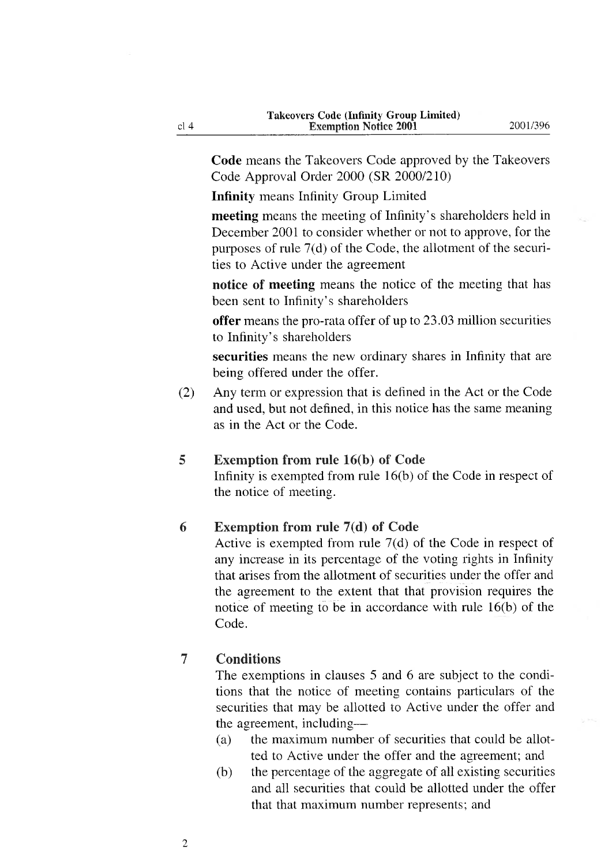Code means the Takeovers Code approved by the Takeovers Code Approval Order 2000 (SR 2000/210)

Infinity means Infinity Group Limited

meeting means the meeting of Infinity's shareholders held in December 2001 to consider whether or not to approve, for the purposes of rule  $7(d)$  of the Code, the allotment of the securities to Active under the agreement

notice of meeting means the notice of the meeting that has been sent to Infinity's shareholders

offer means the pro-rata offer of up to 23.03 million securities to Infinity's shareholders

securities means the new ordinary shares in Infinity that are being offered under the offer.

(2) Any term or expression that is defined in the Act or the Code and used, but not defined, in this notice has the same meaning as in the Act or the Code.

#### 5 Exemption from rule 16(b) of Code

Infinity is exempted from rule 16(b) of the Code in respect of the notice of meeting.

#### 6 Exemption from rule 7(d) of Code

Active is exempted from rule 7(d) of the Code in respect of any increase in its percentage of the voting rights in Infinity that arises from the allotment of securities under the offer and the agreement to the extent that that provision requires the notice of meeting to be in accordance with mle 16(b) of the Code.

#### $\overline{7}$ **Conditions**

The exemptions in clauses 5 and 6 are subject to the conditions that the notice of meeting contains particulars of the securities that may be allotted to Active under the offer and the agreement, including—

- (a) the maximum number of securities that could be allotted to Active under the offer and the agreement; and
- (b) the percentage of the aggregate of all existing securities and all securities that could be allotted under the offer that that maximum number represents; and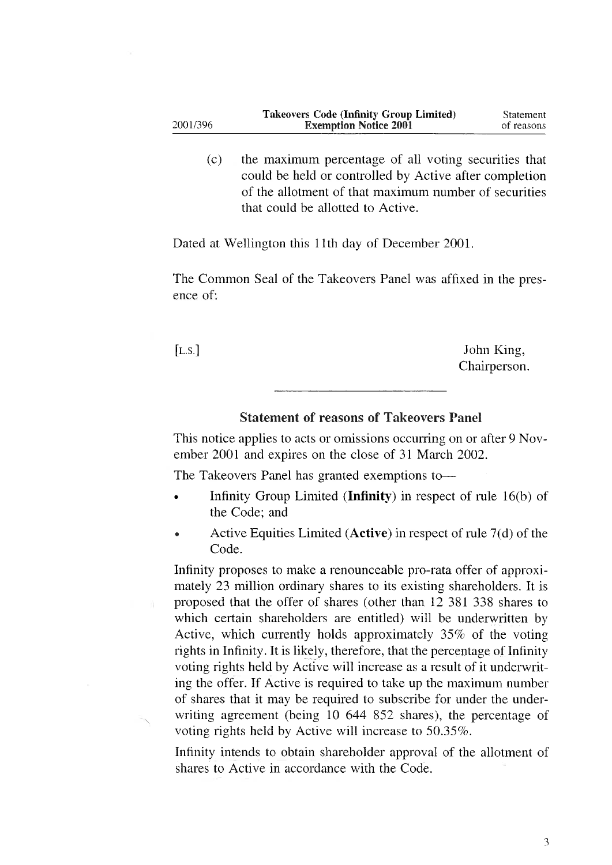| <b>Takeovers Code (Infinity Group Limited)</b> | Statement  |
|------------------------------------------------|------------|
| <b>Exemption Notice 2001</b>                   | of reasons |
|                                                |            |

(c) the maximum percentage of all voting securities that could be held or controlled by Active after completion of the allotment of that maximum number of securities that could be allotted to Active.

Dated at Wellington this llth day of December 2001.

The Common Seal of the Takeovers Panel was affixed in the presence of'

[L.S.] John King, Chairperson.

#### Statement of reasons of Takeovers Panel

This notice applies to acts or omissions occurring on or after 9 November 2001 and expires on the close of 31 March 2002.

The Takeovers Panel has granted exemptions to-

- . Infinity Group Linuted (Infinity) in respect of mle 16(b) of the Code; and
- Active Equities Limited (Active) in respect of rule  $7(d)$  of the Code.

Infinity proposes to make a renounceable pro-rata offer of approximately 23 million ordinary shares to its existing shareholders. It is proposed that the offer of shares (other than 12 381 338 shares to which certain shareholders are entitled) will be underwritten by Active, which currently holds approximately  $35\%$  of the voting rights in Infinity. It is likely, therefore, that the percentage of Infinity voting rights held by Active will increase as a result of it underwriting the offer. If Active is required to take up the maximum number of shares that it may be required to subscribe for under the underwriting agreement (being 10 644 852 shares), the percentage of voting rights held by Active will increase to 50.35%.

Infinity intends to obtain shareholder approval of the allotment of shares to Active in accordance with the Code.